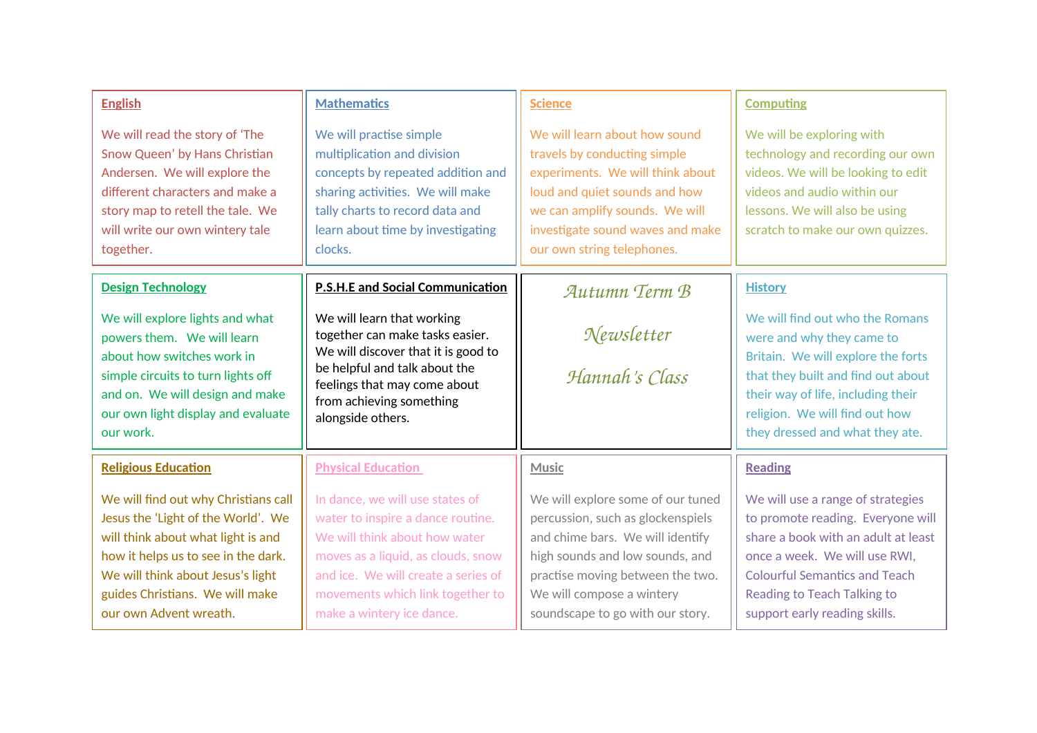| <b>English</b>                                                                                                                                                                                                                                            | <b>Mathematics</b>                                                                                                                                                                                                                                  | <b>Science</b>                                                                                                                                                                                                                                     | <b>Computing</b>                                                                                                                                                                                                                                       |
|-----------------------------------------------------------------------------------------------------------------------------------------------------------------------------------------------------------------------------------------------------------|-----------------------------------------------------------------------------------------------------------------------------------------------------------------------------------------------------------------------------------------------------|----------------------------------------------------------------------------------------------------------------------------------------------------------------------------------------------------------------------------------------------------|--------------------------------------------------------------------------------------------------------------------------------------------------------------------------------------------------------------------------------------------------------|
| We will read the story of 'The<br>Snow Queen' by Hans Christian<br>Andersen. We will explore the<br>different characters and make a<br>story map to retell the tale. We<br>will write our own wintery tale<br>together.                                   | We will practise simple<br>multiplication and division<br>concepts by repeated addition and<br>sharing activities. We will make<br>tally charts to record data and<br>learn about time by investigating<br>clocks.                                  | We will learn about how sound<br>travels by conducting simple<br>experiments. We will think about<br>loud and quiet sounds and how<br>we can amplify sounds. We will<br>investigate sound waves and make<br>our own string telephones.             | We will be exploring with<br>technology and recording our own<br>videos. We will be looking to edit<br>videos and audio within our<br>lessons. We will also be using<br>scratch to make our own quizzes.                                               |
| <b>Design Technology</b>                                                                                                                                                                                                                                  | <b>P.S.H.E and Social Communication</b>                                                                                                                                                                                                             | Autumn Term B                                                                                                                                                                                                                                      | <b>History</b>                                                                                                                                                                                                                                         |
| We will explore lights and what<br>powers them. We will learn<br>about how switches work in<br>simple circuits to turn lights off<br>and on. We will design and make<br>our own light display and evaluate<br>our work.                                   | We will learn that working<br>together can make tasks easier.<br>We will discover that it is good to<br>be helpful and talk about the<br>feelings that may come about<br>from achieving something<br>alongside others.                              | Newsletter<br>Hannah's Class                                                                                                                                                                                                                       | We will find out who the Romans<br>were and why they came to<br>Britain. We will explore the forts<br>that they built and find out about<br>their way of life, including their<br>religion. We will find out how<br>they dressed and what they ate.    |
| <b>Religious Education</b>                                                                                                                                                                                                                                | <b>Physical Education</b>                                                                                                                                                                                                                           | <b>Music</b>                                                                                                                                                                                                                                       | <b>Reading</b>                                                                                                                                                                                                                                         |
| We will find out why Christians call<br>Jesus the 'Light of the World'. We<br>will think about what light is and<br>how it helps us to see in the dark.<br>We will think about Jesus's light<br>guides Christians. We will make<br>our own Advent wreath. | In dance, we will use states of<br>water to inspire a dance routine.<br>We will think about how water<br>moves as a liquid, as clouds, snow<br>and ice. We will create a series of<br>movements which link together to<br>make a wintery ice dance. | We will explore some of our tuned<br>percussion, such as glockenspiels<br>and chime bars. We will identify<br>high sounds and low sounds, and<br>practise moving between the two.<br>We will compose a wintery<br>soundscape to go with our story. | We will use a range of strategies<br>to promote reading. Everyone will<br>share a book with an adult at least<br>once a week. We will use RWI,<br><b>Colourful Semantics and Teach</b><br>Reading to Teach Talking to<br>support early reading skills. |